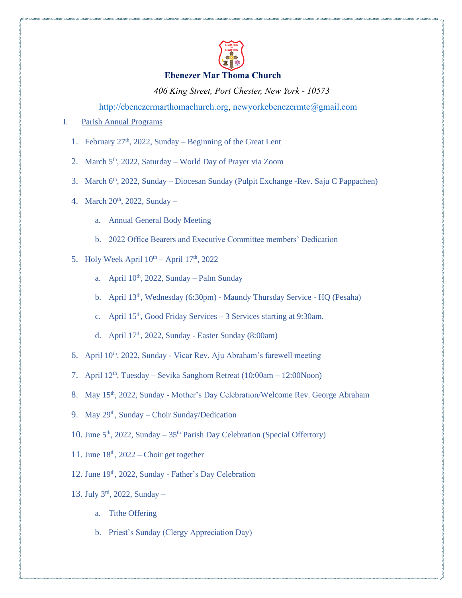

## **Ebenezer Mar Thoma Church**

*406 King Street, Port Chester, New York - 10573*

[http://ebenezermarthomachurch.org,](http://ebenezermarthomachurch.org/) [newyorkebenezermtc@gmail.com](mailto:newyorkebenezermtc@gmail.com)

I. Parish Annual Programs

- 1. February 27<sup>th</sup>, 2022, Sunday Beginning of the Great Lent
- 2. March 5<sup>th</sup>, 2022, Saturday World Day of Prayer via Zoom
- 3. March 6<sup>th</sup>, 2022, Sunday Diocesan Sunday (Pulpit Exchange -Rev. Saju C Pappachen)
- 4. March  $20^{th}$ ,  $2022$ , Sunday
	- a. Annual General Body Meeting
	- b. 2022 Office Bearers and Executive Committee members' Dedication
- 5. Holy Week April  $10^{th}$  April  $17^{th}$ , 2022
	- a. April  $10^{th}$ , 2022, Sunday Palm Sunday
	- b. April 13<sup>th</sup>, Wednesday (6:30pm) Maundy Thursday Service HQ (Pesaha)
	- c. April 15<sup>th</sup>, Good Friday Services 3 Services starting at 9:30am.
	- d. April 17<sup>th</sup>, 2022, Sunday Easter Sunday (8:00am)
- 6. April 10th, 2022, Sunday Vicar Rev. Aju Abraham's farewell meeting
- 7. April  $12<sup>th</sup>$ , Tuesday Sevika Sanghom Retreat (10:00am 12:00Noon)
- 8. May 15<sup>th</sup>, 2022, Sunday Mother's Day Celebration/Welcome Rev. George Abraham
- 9. May 29<sup>th</sup>, Sunday Choir Sunday/Dedication
- 10. June 5<sup>th</sup>, 2022, Sunday 35<sup>th</sup> Parish Day Celebration (Special Offertory)
- 11. June  $18<sup>th</sup>$ , 2022 Choir get together
- 12. June 19<sup>th</sup>, 2022, Sunday Father's Day Celebration
- 13. July 3 rd, 2022, Sunday
	- a. Tithe Offering
	- b. Priest's Sunday (Clergy Appreciation Day)